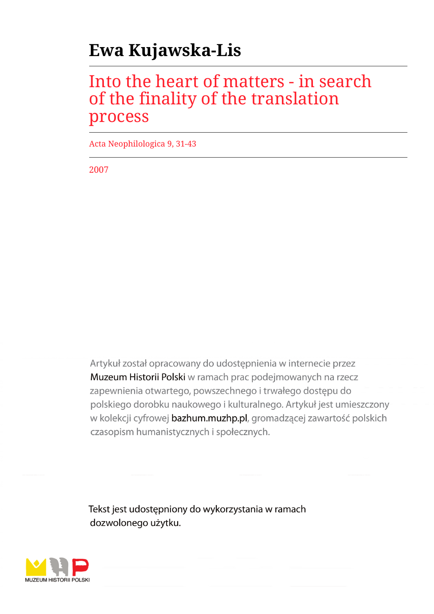# **Ewa Kujawska-Lis**

## Into the heart of matters - in search of the finality of the translation process

Acta Neophilologica 9, 31-43

2007

Artykuł został opracowany do udostępnienia w internecie przez Muzeum Historii Polski w ramach prac podejmowanych na rzecz zapewnienia otwartego, powszechnego i trwałego dostępu do polskiego dorobku naukowego i kulturalnego. Artykuł jest umieszczony w kolekcji cyfrowej bazhum.muzhp.pl, gromadzącej zawartość polskich czasopism humanistycznych i społecznych.

Tekst jest udostępniony do wykorzystania w ramach dozwolonego użytku.

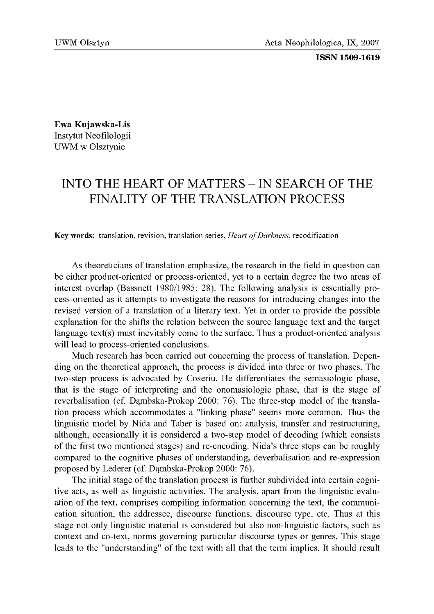#### ISSN 1509-1619

Ewa Kujawska-Lis Instytut Neofilologii UWM w Olsztynie

### INTO THE HEART OF MATTERS - IN SEARCH OF THE FINALITY OF THE TRANSLATION PROCESS

Key words: translation, revision, translation series, *Heart of Darkness*, recodification

As theoreticians of translation emphasize, the research in the field in question can be either product-oriented or process-oriented, yet to a certain degree the two areas of interest overlap (Bassnett 1980/1985: 28). The following analysis is essentially process-oriented as it attempts to investigate the reasons for introducing changes into the revised version of a translation of a literary text. Yet in order to provide the possible explanation for the shifts the relation between the source language text and the target language text(s) must inevitably come to the surface. Thus a product-oriented analysis will lead to process-oriented conclusions.

Much research has been carried out concerning the process of translation. Depending on the theoretical approach, the process is divided into three or two phases. The two-step process is advocated by Coseriu. He differentiates the semasiologic phase, that is the stage of interpreting and the onomasiologic phase, that is the stage of reverbalisation (cf. Dąmbska-Prokop 2000: 76). The three-step model of the translation process which accommodates a "linking phase" seems more common. Thus the linguistic model by Nida and Taber is based on: analysis, transfer and restructuring, although, occasionally it is considered a two-step model of decoding (which consists of the first two mentioned stages) and re-encoding. Nida's three steps can be roughly compared to the cognitive phases of understanding, deverbalisation and re-expression proposed by Lederer (cf. Dąmbska-Prokop 2000: 76).

The initial stage of the translation process is further subdivided into certain cognitive acts, as well as linguistic activities. The analysis, apart from the linguistic evaluation of the text, comprises compiling information concerning the text, the communication situation, the addressee, discourse functions, discourse type, etc. Thus at this stage not only linguistic material is considered but also non-linguistic factors, such as context and co-text, norms governing particular discourse types or genres. This stage leads to the "understanding" of the text with all that the term implies. It should result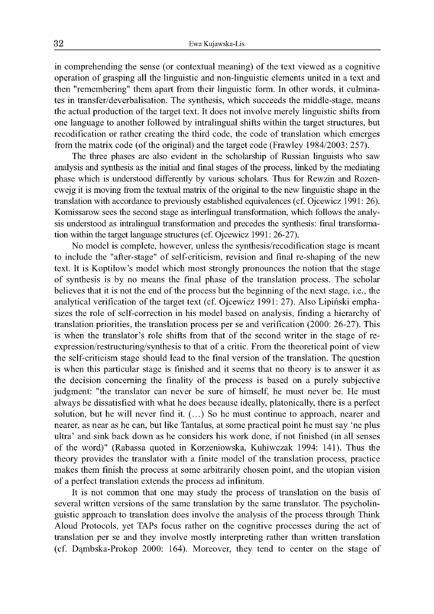in comprehending the sense (or contextual meaning) of the text viewed as a cognitive operation of grasping all the linguistic and non-linguistic elements united in a text and then "remembering" them apart from their linguistic form. In other words, it culminates in transfer/deverbalisation. The synthesis, which succeeds the middle-stage, means the actual production of the target text. It does not involve merely linguistic shifts from one language to another followed by intralingual shifts within the target structures, but recodification or rather creating the third code, the code of translation which emerges from the matrix code (of the original) and the target code (Frawley 1984/2003: 257).

The three phases are also evident in the scholarship of Russian linguists who saw analysis and synthesis as the initial and final stages of the process, linked by the mediating phase which is understood differently by various scholars. Thus for Rewzin and Rozencwejg it is moving from the textual matrix of the original to the new linguistic shape in the translation with accordance to previously established equivalences (cf. Ojcewicz 1991: 26). Komissarow sees the second stage as interlingual transformation, which follows the analysis understood as intralingual transformation and precedes the synthesis: final transformation within the target language structures (cf. Ojcewicz 1991: 26-27).

No model is complete, however, unless the synthesis/recodification stage is meant to include the "after-stage" of self-criticism, revision and final re-shaping of the new text. It is Koptiłow's model which most strongly pronounces the notion that the stage of synthesis is by no means the final phase of the translation process. The scholar believes that it is not the end of the process but the beginning of the next stage, i.e., the analytical verification of the target text (cf. Ojcewicz 1991: 27). Also Lipiński emphasizes the role of self-correction in his model based on analysis, finding a hierarchy of translation priorities, the translation process per se and verification (2000: 26-27). This is when the translator's role shifts from that of the second writer in the stage of reexpression/restructuring/synthesis to that of a critic. From the theoretical point of view the self-criticism stage should lead to the final version of the translation. The question is when this particular stage is finished and it seems that no theory is to answer it as the decision concerning the finality of the process is based on a purely subjective judgment: "the translator can never be sure of himself, he must never be. He must always be dissatisfied with what he does because ideally, platonically, there is a perfect solution, but he will never find it. (...) So he must continue to approach, nearer and nearer, as near as he can, but like Tantalus, at some practical point he must say 'ne plus ultra' and sink back down as he considers his work done, if not finished (in all senses of the word)" (Rabassa quoted in Korzeniowska, Kuhiwczak 1994: 141). Thus the theory provides the translator with a finite model of the translation process, practice makes them finish the process at some arbitrarily chosen point, and the utopian vision of a perfect translation extends the process ad infinitum.

It is not common that one may study the process of translation on the basis of several written versions of the same translation by the same translator. The psycholinguistic approach to translation does involve the analysis of the process through Think Aloud Protocols, yet TAPs focus rather on the cognitive processes during the act of translation per se and they involve mostly interpreting rather than written translation (cf. Dąmbska-Prokop 2000: 164). Moreover, they tend to center on the stage of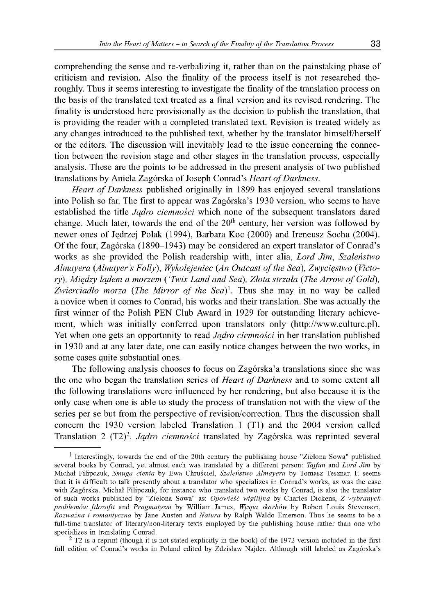comprehending the sense and re-verbalizing it, rather than on the painstaking phase of criticism and revision. Also the finality of the process itself is not researched thoroughly. Thus it seems interesting to investigate the finality of the translation process on the basis of the translated text treated as a final version and its revised rendering. The finality is understood here provisionally as the decision to publish the translation, that is providing the reader with a completed translated text. Revision is treated widely as any changes introduced to the published text, whether by the translator himself/herself or the editors. The discussion will inevitably lead to the issue concerning the connection between the revision stage and other stages in the translation process, especially analysis. These are the points to be addressed in the present analysis of two published translations by Aniela Zagórska of Joseph Conrad's *Heart of Darkness*.

*Heart of Darkness* published originally in 1899 has enjoyed several translations into Polish so far. The first to appear was Zagórska's 1930 version, who seems to have established the title *Jądro ciemności* which none of the subsequent translators dared change. Much later, towards the end of the 20<sup>th</sup> century, her version was followed by newer ones of Jędrzej Polak (1994), Barbara Koc (2000) and Ireneusz Socha (2004). O f the four, Zagórska (1890-1943) may be considered an expert translator of Conrad's works as she provided the Polish readership with, inter alia, *Lord Jim, Szaleństwo* Almayera (Almayer's Folly), Wykolejeniec (An Outcast of the Sea), Zwycięstwo (Victory), Między lądem a morzem ('Twix Land and Sea), Złota strzała (The Arrow of Gold), *Zwierciadło morza (The Mirror of the Sea)*<sup>1</sup>. Thus she may in no way be called a novice when it comes to Conrad, his works and their translation. She was actually the first winner of the Polish PEN Club Award in 1929 for outstanding literary achievement, which was initially conferred upon translators only [\(http://www.culture.pl\)](http://www.culture.pl). Yet when one gets an opportunity to read *Jądro ciemności* in her translation published in 1930 and at any later date, one can easily notice changes between the two works, in some cases quite substantial ones.

The following analysis chooses to focus on Zagórska'a translations since she was the one who began the translation series of *Heart of Darkness* and to some extent all the following translations were influenced by her rendering, but also because it is the only case when one is able to study the process of translation not with the view of the series per se but from the perspective of revision/correction. Thus the discussion shall concern the 1930 version labeled Translation 1 (T1) and the 2004 version called Translation 2 (T2)2. *Jądro ciemności* translated by Zagórska was reprinted several

<sup>&</sup>lt;sup>1</sup> Interestingly, towards the end of the 20th century the publishing house "Zielona Sowa" published several books by Conrad, yet almost each was translated by a different person: *Tajfun* and *Lord Jim* by Michał Filipczuk, *Smuga cienia* by Ewa Chruściel, *Szaleństwo Almayera* by Tomasz Tesznar. It seems that it is difficult to talk presently about a translator who specializes in Conrad's works, as was the case with Zagórska. Michał Filipczuk, for instance who translated two works by Conrad, is also the translator of such works published by "Zielona Sowa" as: *Opowieść wigilijna* by Charles Dickens, *Z wybranych problemów filozofii* and *Pragmatyzm* by William James, *Wyspa skarbów* by Robert Louis Stevenson, *Rozważna i romantyczna* by Jane Austen and *Natura* by Ralph Waldo Emerson. Thus he seems to be a full-time translator of literary/non-literary texts employed by the publishing house rather than one who specializes in translating Conrad.

 $2$  T2 is a reprint (though it is not stated explicitly in the book) of the 1972 version included in the first full edition of Conrad's works in Poland edited by Zdzisław Najder. Although still labeled as Zagórska's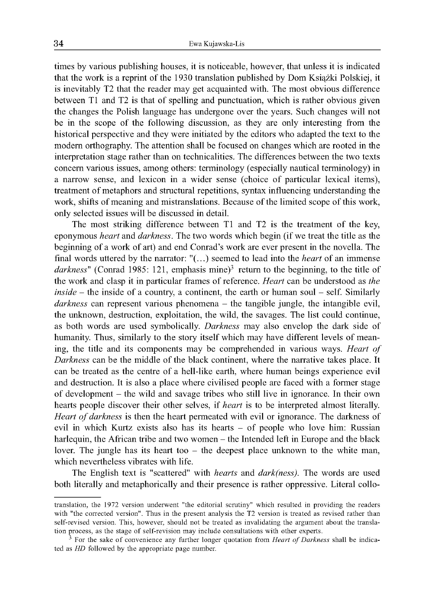times by various publishing houses, it is noticeable, however, that unless it is indicated that the work is a reprint of the 1930 translation published by Dom Książki Polskiej, it is inevitably T2 that the reader may get acquainted with. The most obvious difference between T1 and T2 is that of spelling and punctuation, which is rather obvious given the changes the Polish language has undergone over the years. Such changes will not be in the scope of the following discussion, as they are only interesting from the historical perspective and they were initiated by the editors who adapted the text to the modern orthography. The attention shall be focused on changes which are rooted in the interpretation stage rather than on technicalities. The differences between the two texts concern various issues, among others: terminology (especially nautical terminology) in a narrow sense, and lexicon in a wider sense (choice of particular lexical items), treatment of metaphors and structural repetitions, syntax influencing understanding the work, shifts of meaning and mistranslations. Because of the limited scope of this work, only selected issues will be discussed in detail.

The most striking difference between  $T1$  and  $T2$  is the treatment of the key, eponymous *heart* and *darkness.* The two words which begin (if we treat the title as the beginning of a work of art) and end Conrad's work are ever present in the novella. The final words uttered by the narrator: "(...) seemed to lead into the *heart* of an immense darkness" (Conrad 1985: 121, emphasis mine)<sup>3</sup> return to the beginning, to the title of the work and clasp it in particular frames of reference. *Heart* can be understood as *the inside* – the inside of a country, a continent, the earth or human soul – self. Similarly *darkness* can represent various phenomena - the tangible jungle, the intangible evil, the unknown, destruction, exploitation, the wild, the savages. The list could continue, as both words are used symbolically. *Darkness* may also envelop the dark side of humanity. Thus, similarly to the story itself which may have different levels of meaning, the title and its components may be comprehended in various ways. *Heart of Darkness* can be the middle of the black continent, where the narrative takes place. It can be treated as the centre of a hell-like earth, where human beings experience evil and destruction. It is also a place where civilised people are faced with a former stage of development - the wild and savage tribes who still live in ignorance. In their own hearts people discover their other selves, if *heart* is to be interpreted almost literally. *Heart of darkness* is then the heart permeated with evil or ignorance. The darkness of evil in which Kurtz exists also has its hearts - of people who love him: Russian harlequin, the African tribe and two women – the Intended left in Europe and the black lover. The jungle has its heart too  $-$  the deepest place unknown to the white man, which nevertheless vibrates with life.

The English text is "scattered" with *hearts* and *dark(ness).* The words are used both literally and metaphorically and their presence is rather oppressive. Literal collo-

translation, the 1972 version underwent "the editorial scrutiny" which resulted in providing the readers with "the corrected version". Thus in the present analysis the T2 version is treated as revised rather than self-revised version. This, however, should not be treated as invalidating the argument about the translation process, as the stage of self-revision may include consultations with other experts.

<sup>3</sup> For the sake of convenience any further longer quotation from *Heart of Darkness* shall be indicated as *HD* followed by the appropriate page number.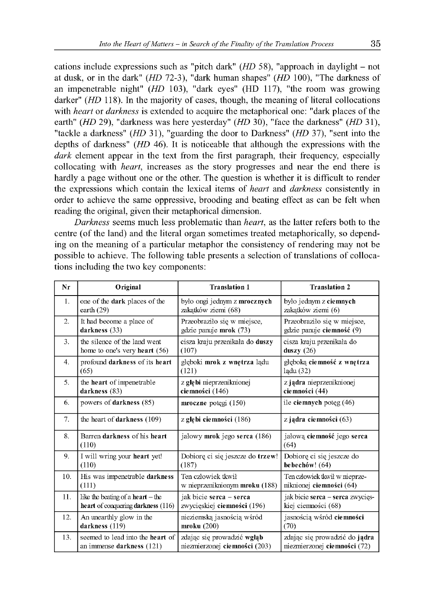cations include expressions such as "pitch dark" *(HD 58)*, "approach in daylight – not at dusk, or in the dark" *(HD* 72-3), "dark human shapes" *(HD* 100), "The darkness of an impenetrable night" *(HD* 103), "dark eyes" (HD 117), "the room was growing darker" *(HD* 118). In the majority of cases, though, the meaning of literal collocations with *heart* or *darkness* is extended to acquire the metaphorical one: "dark places of the earth" *(HD* 29), "darkness was here yesterday" *(HD* 30), "face the darkness" *(HD* 31), "tackle a darkness" *(HD* 31), "guarding the door to Darkness" *(HD* 37), "sent into the depths of darkness" (*HD* 46). It is noticeable that although the expressions with the *dark* element appear in the text from the first paragraph, their frequency, especially collocating with *heart*, increases as the story progresses and near the end there is hardly a page without one or the other. The question is whether it is difficult to render the expressions which contain the lexical items of *heart* and *darkness* consistently in order to achieve the same oppressive, brooding and beating effect as can be felt when reading the original, given their metaphorical dimension.

*Darkness* seems much less problematic than *heart*, as the latter refers both to the centre (of the land) and the literal organ sometimes treated metaphorically, so depending on the meaning of a particular metaphor the consistency of rendering may not be possible to achieve. The following table presents a selection of translations of collocations including the two key components:

| Nr               | Original                              | <b>Translation 1</b>             | <b>Translation 2</b>               |
|------------------|---------------------------------------|----------------------------------|------------------------------------|
| 1.               | one of the dark places of the         | było ongi jednym z mrocznych     | było jednym z ciemnych             |
|                  | earth $(29)$                          | zakatków ziemi (68)              | zakatków ziemi (6)                 |
| $\overline{2}$ . | It had become a place of              | Przeobraziło się w miejsce,      | Przeobraziło się w miejsce,        |
|                  | darkness (33)                         | gdzie panuje mrok (73)           | gdzie panuje ciemność (9)          |
| 3.               | the silence of the land went          | cisza kraju przenikała do duszy  | cisza kraju przenikała do          |
|                  | home to one's very heart (56)         | (107)                            | duszy $(26)$                       |
| 4.               | profound darkness of its heart        | głęboki mrok z wnętrza lądu      | głęboką ciemność z wnętrza         |
|                  | (65)                                  | (121)                            | ladu (32)                          |
| 5.               | the heart of impenetrable             | z głębi nieprzeniknionej         | z jądra nieprzeniknionej           |
|                  | darkness (83)                         | ciemności (146)                  | ciemności (44)                     |
| 6.               | powers of darkness (85)               | mroczne potęgi (150)             | ile ciemnych poteg $(46)$          |
| 7.               | the heart of darkness (109)           | z głębi ciemności $(186)$        | z jądra ciemności (63)             |
| 8.               | Barren darkness of his heart<br>(110) | jałowy mrok jego serca (186)     | jałową ciemność jego serca<br>(64) |
| 9.               | I will wring your heart yet!          | Dobiore ci się jeszcze do trzew! | Dobiore ci sie jeszcze do          |
|                  | (110)                                 | (187)                            | bebechów! (64)                     |
| 10.              | His was impenetrable darkness         | Ten człowiek tkwił               | Ten człowiek tkwił w nieprze-      |
|                  | (111)                                 | w nieprzeniknionym mroku (188)   | niknionej ciemności (64)           |
| 11.              | like the beating of a heart $-$ the   | jak bicie serca - serca          | jak bicie serca - serca zwycięs-   |
|                  | heart of conquering darkness (116)    | zwycięskiej ciemności (196)      | kiej ciemności (68)                |
| 12.              | An unearthly glow in the              | nieziemską jasnością wśród       | jasnością wśród ciemności          |
|                  | darkness (119)                        | $m$ roku $(200)$                 | (70)                               |
| 13.              | seemed to lead into the heart of      | zdając się prowadzić wgłąb       | zdając się prowadzić do jądra      |
|                  | an immense darkness (121)             | niezmierzonej ciemności (203)    | niezmierzonej ciemności (72)       |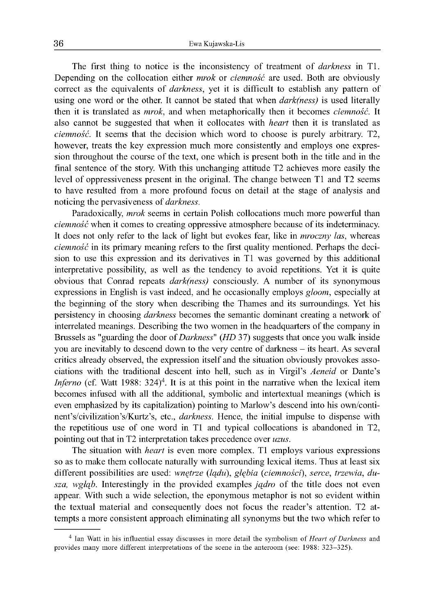The first thing to notice is the inconsistency of treatment of *darkness* in T1. Depending on the collocation either *mrok* or *ciemność* are used. Both are obviously correct as the equivalents of *darkness*, yet it is difficult to establish any pattern of using one word or the other. It cannot be stated that when *dark(ness)* is used literally then it is translated as *mrok,* and when metaphorically then it becomes *ciemność.* It also cannot be suggested that when it collocates with *heart* then it is translated as *ciemność.* It seems that the decision which word to choose is purely arbitrary. T2, however, treats the key expression much more consistently and employs one expression throughout the course of the text, one which is present both in the title and in the final sentence of the story. With this unchanging attitude T2 achieves more easily the level of oppressiveness present in the original. The change between T1 and T2 seems to have resulted from a more profound focus on detail at the stage of analysis and noticing the pervasiveness of *darkness.*

Paradoxically, *mrok* seems in certain Polish collocations much more powerful than *ciemność* when it comes to creating oppressive atmosphere because of its indeterminacy. It does not only refer to the lack of light but evokes fear, like in *mroczny las,* whereas *ciemność* in its primary meaning refers to the first quality mentioned. Perhaps the decision to use this expression and its derivatives in T1 was governed by this additional interpretative possibility, as well as the tendency to avoid repetitions. Yet it is quite obvious that Conrad repeats *dark(ness)* consciously. A number of its synonymous expressions in English is vast indeed, and he occasionally employs *gloom,* especially at the beginning of the story when describing the Thames and its surroundings. Yet his persistency in choosing *darkness* becomes the semantic dominant creating a network of interrelated meanings. Describing the two women in the headquarters of the company in Brussels as "guarding the door of *Darkness*" (HD 37) suggests that once you walk inside you are inevitably to descend down to the very centre of darkness – its heart. As several critics already observed, the expression itself and the situation obviously provokes associations with the traditional descent into hell, such as in Virgil's *Aeneid* or Dante's *Inferno* (cf. Watt 1988: 324)<sup>4</sup>. It is at this point in the narrative when the lexical item becomes infused with all the additional, symbolic and intertextual meanings (which is even emphasized by its capitalization) pointing to Marlow's descend into his own/continent's/civilization's/Kurtz's, etc., *darkness.* Hence, the initial impulse to dispense with the repetitious use of one word in T1 and typical collocations is abandoned in T2, pointing out that in T2 interpretation takes precedence over *uzus.*

The situation with *heart* is even more complex. T1 employs various expressions so as to make them collocate naturally with surrounding lexical items. Thus at least six different possibilities are used: *wnętrze (lądu), głębia (ciemności), serce, trzewia, dusza, wgłąb.* Interestingly in the provided examples *jądro* of the title does not even appear. With such a wide selection, the eponymous metaphor is not so evident within the textual material and consequently does not focus the reader's attention. T2 attempts a more consistent approach eliminating all synonyms but the two which refer to

<sup>4</sup> Ian Watt in his influential essay discusses in more detail the symbolism of *Heart of Darkness* and provides many more different interpretations of the scene in the anteroom (see: 1988: 323-325).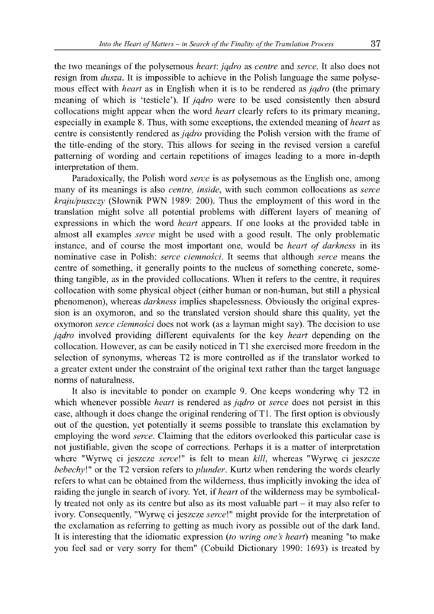the two meanings of the polysemous *heart: jadro* as *centre* and *serce*. It also does not resign from *dusza.* It is impossible to achieve in the Polish language the same polysemous effect with *heart* as in English when it is to be rendered as *jądro* (the primary meaning of which is 'testicle'). If *jądro* were to be used consistently then absurd collocations might appear when the word *heart* clearly refers to its primary meaning, especially in example 8. Thus, with some exceptions, the extended meaning of *heart* as centre is consistently rendered as *jądro* providing the Polish version with the frame of the title-ending of the story. This allows for seeing in the revised version a careful patterning of wording and certain repetitions of images leading to a more in-depth interpretation of them.

Paradoxically, the Polish word *serce* is as polysemous as the English one, among many of its meanings is also *centre, inside*, with such common collocations as *serce kraju/puszczy* (Słownik PWN 1989: 200). Thus the employment of this word in the translation might solve all potential problems with different layers of meaning of expressions in which the word *heart* appears. If one looks at the provided table in almost all examples *serce* might be used with a good result. The only problematic instance, and of course the most important one, would be *heart of darkness* in its nominative case in Polish: *serce ciemności.* It seems that although *serce* means the centre of something, it generally points to the nucleus of something concrete, something tangible, as in the provided collocations. W hen it refers to the centre, it requires collocation with some physical object (either human or non-human, but still a physical phenomenon), whereas *darkness* implies shapelessness. Obviously the original expression is an oxymoron, and so the translated version should share this quality, yet the oxymoron *serce ciemności* does not work (as a layman might say). The decision to use *jądro* involved providing different equivalents for the key *heart* depending on the collocation. However, as can be easily noticed in T1 she exercised more freedom in the selection of synonyms, whereas T2 is more controlled as if the translator worked to a greater extent under the constraint of the original text rather than the target language norms of naturalness.

It also is inevitable to ponder on example 9. One keeps wondering why T2 in which whenever possible *heart* is rendered as *jądro* or *serce* does not persist in this case, although it does change the original rendering of T1. The first option is obviously out of the question, yet potentially it seems possible to translate this exclamation by employing the word *serce*. Claiming that the editors overlooked this particular case is not justifiable, given the scope of corrections. Perhaps it is a matter of interpretation where "Wyrwę ci jeszcze serce!" is felt to mean *kill,* whereas "Wyrwę ci jeszcze *bebechy!"* or the T2 version refers to *plunder.* Kurtz when rendering the words clearly refers to what can be obtained from the wilderness, thus implicitly invoking the idea of raiding the jungle in search of ivory. Yet, if *heart* of the wilderness may be symbolically treated not only as its centre but also as its most valuable part - it may also refer to ivory. Consequently, "Wyrwę ci jeszcze serce!" might provide for the interpretation of the exclamation as referring to getting as much ivory as possible out of the dark land. It is interesting that the idiomatic expression (to *wring one 's heart)* meaning "to make you feel sad or very sorry for them" (Cobuild Dictionary 1990: 1693) is treated by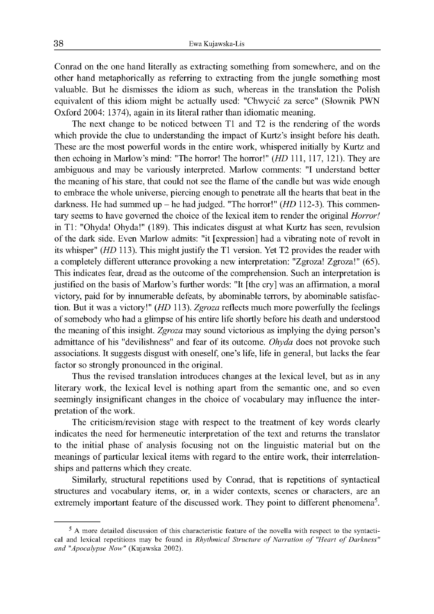Conrad on the one hand literally as extracting something from somewhere, and on the other hand metaphorically as referring to extracting from the jungle something most valuable. But he dismisses the idiom as such, whereas in the translation the Polish equivalent of this idiom might be actually used: "Chwycić za serce" (Słownik PWN Oxford 2004: 1374), again in its literal rather than idiomatic meaning.

The next change to be noticed between T1 and T2 is the rendering of the words which provide the clue to understanding the impact of Kurtz's insight before his death. These are the most powerful words in the entire work, whispered initially by Kurtz and then echoing in Marlow's mind: "The horror! The horror!" *(HD* 111, 117, 121). They are ambiguous and may be variously interpreted. Marlow comments: "I understand better the meaning of his stare, that could not see the flame of the candle but was wide enough to embrace the whole universe, piercing enough to penetrate all the hearts that beat in the darkness. He had summed up - he had judged. "The horror!" *(HD* 112-3). This commentary seems to have governed the choice of the lexical item to render the original *Horror!* in T1: "Ohyda! Ohyda!" (189). This indicates disgust at what Kurtz has seen, revulsion of the dark side. Even Marlow admits: "it [expression] had a vibrating note of revolt in its whisper" *(HD* 113). This might justify the T1 version. Yet T2 provides the reader with a completely different utterance provoking a new interpretation: "Zgroza! Zgroza!" (65). This indicates fear, dread as the outcome of the comprehension. Such an interpretation is justified on the basis of Marlow's further words: "It [the cry] was an affirmation, a moral victory, paid for by innumerable defeats, by abominable terrors, by abominable satisfaction. But it was a victory!" *(HD* 113). *Zgroza* reflects much more powerfully the feelings of somebody who had a glimpse of his entire life shortly before his death and understood the meaning of this insight. *Zgroza* may sound victorious as implying the dying person's admittance of his "devilishness" and fear of its outcome. *Ohyda* does not provoke such associations. It suggests disgust with oneself, one's life, life in general, but lacks the fear factor so strongly pronounced in the original.

Thus the revised translation introduces changes at the lexical level, but as in any literary work, the lexical level is nothing apart from the semantic one, and so even seemingly insignificant changes in the choice of vocabulary may influence the interpretation of the work.

The criticism/revision stage with respect to the treatment of key words clearly indicates the need for hermeneutic interpretation of the text and returns the translator to the initial phase of analysis focusing not on the linguistic material but on the meanings of particular lexical items with regard to the entire work, their interrelationships and patterns which they create.

Similarly, structural repetitions used by Conrad, that is repetitions of syntactical structures and vocabulary items, or, in a wider contexts, scenes or characters, are an extremely important feature of the discussed work. They point to different phenomena<sup>5</sup>.

<sup>5</sup> A more detailed discussion of this characteristic feature of the novella with respect to the syntactical and lexical repetitions may be found in *Rhythmical Structure of Narration of "Heart of Darkness" and "Apocalypse Now"* (Kujawska 2002).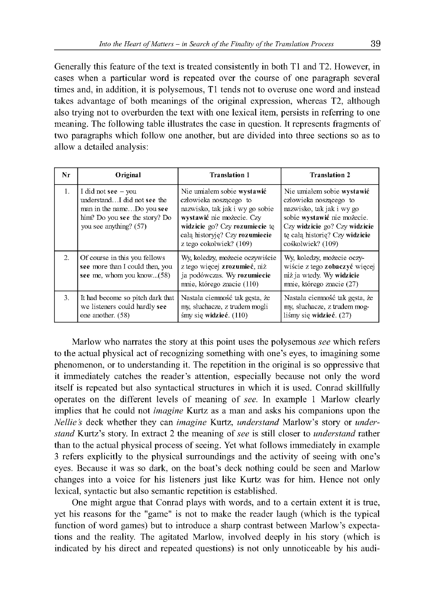Generally this feature of the text is treated consistently in both T1 and T2. However, in cases when a particular word is repeated over the course of one paragraph several times and, in addition, it is polysemous, T1 tends not to overuse one word and instead takes advantage of both meanings of the original expression, whereas T2, although also trying not to overburden the text with one lexical item, persists in referring to one meaning. The following table illustrates the case in question. It represents fragments of two paragraphs which follow one another, but are divided into three sections so as to allow a detailed analysis:

| Nr | Original                                                                                                                                     | <b>Translation 1</b>                                                                                                                                                                                                | <b>Translation 2</b>                                                                                                                                                                                     |
|----|----------------------------------------------------------------------------------------------------------------------------------------------|---------------------------------------------------------------------------------------------------------------------------------------------------------------------------------------------------------------------|----------------------------------------------------------------------------------------------------------------------------------------------------------------------------------------------------------|
| 1. | I did not see $-$ you<br>understandI did not see the<br>man in the nameDo you see<br>him? Do you see the story? Do<br>you see anything? (57) | Nie umiałem sobie wystawić<br>człowieka noszącego to<br>nazwisko, tak jak i wy go sobie<br>wystawić nie możecie. Czy<br>widzicie go? Czy rozumiecie tę<br>cała historyję? Czy rozumiecie<br>z tego cokolwiek? (109) | Nie umiałem sobie wystawić<br>człowieka noszącego to<br>nazwisko, tak jak i wy go<br>sobie wystawić nie możecie.<br>Czy widzicie go? Czy widzicie<br>te cała historie? Czy widzicie<br>cośkolwiek? (109) |
| 2. | Of course in this you fellows<br>see more than I could then, you<br>see me, whom you know(58)                                                | Wy, koledzy, możecie oczywiście<br>z tego więcej zrozumieć, niż<br>ja podówczas. Wy rozumiecie<br>mnie, którego znacie (110)                                                                                        | Wy, koledzy, możecie oczy-<br>wiście z tego zobaczyć więcej<br>niż ja wtedy. Wy widzicie<br>mnie, którego znacie (27)                                                                                    |
| 3. | It had become so pitch dark that<br>we listeners could hardly see<br>one another. (58)                                                       | Nastała ciemność tak gęsta, że<br>my, słuchacze, z trudem mogli<br>$\sin y$ się widzieć. (110)                                                                                                                      | Nastała ciemność tak gęsta, że<br>my, słuchacze, z trudem mog-<br>liśmy się widzieć. $(27)$                                                                                                              |

Marlow who narrates the story at this point uses the polysemous *see* which refers to the actual physical act of recognizing something with one's eyes, to imagining some phenomenon, or to understanding it. The repetition in the original is so oppressive that it immediately catches the reader's attention, especially because not only the word itself is repeated but also syntactical structures in which it is used. Conrad skillfully operates on the different levels of meaning of *see*. In example 1 Marlow clearly implies that he could not *imagine* Kurtz as a man and asks his companions upon the *Nellie's* deck whether they can *imagine* Kurtz, *understand* Marlow's story or *understand* Kurtz's story. In extract 2 the meaning of *see* is still closer to *understand* rather than to the actual physical process of seeing. Yet what follows immediately in example 3 refers explicitly to the physical surroundings and the activity of seeing with one's eyes. Because it was so dark, on the boat's deck nothing could be seen and Marlow changes into a voice for his listeners just like Kurtz was for him. Hence not only lexical, syntactic but also semantic repetition is established.

One might argue that Conrad plays with words, and to a certain extent it is true, yet his reasons for the "game" is not to make the reader laugh (which is the typical function of word games) but to introduce a sharp contrast between Marlow's expectations and the reality. The agitated Marlow, involved deeply in his story (which is indicated by his direct and repeated questions) is not only unnoticeable by his audi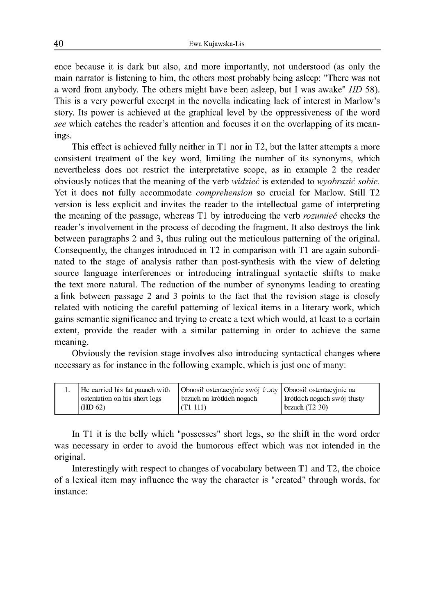ence because it is dark but also, and more importantly, not understood (as only the main narrator is listening to him, the others most probably being asleep: "There was not a word from anybody. The others might have been asleep, but I was awake" *HD* 58). This is a very powerful excerpt in the novella indicating lack of interest in Marlow's story. Its power is achieved at the graphical level by the oppressiveness of the word *see* which catches the reader's attention and focuses it on the overlapping of its meanings.

This effect is achieved fully neither in T1 nor in T2, but the latter attempts a more consistent treatment of the key word, limiting the number of its synonyms, which nevertheless does not restrict the interpretative scope, as in example 2 the reader obviously notices that the meaning of the verb *widzieć* is extended to *wyobrazić sobie.* Yet it does not fully accommodate *comprehension* so crucial for Marlow. Still T2 version is less explicit and invites the reader to the intellectual game of interpreting the meaning of the passage, whereas T1 by introducing the verb *rozumieć* checks the reader's involvement in the process of decoding the fragment. It also destroys the link between paragraphs 2 and 3, thus ruling out the meticulous patterning of the original. Consequently, the changes introduced in T2 in comparison with T1 are again subordinated to the stage of analysis rather than post-synthesis with the view of deleting source language interferences or introducing intralingual syntactic shifts to make the text more natural. The reduction of the number of synonyms leading to creating a link between passage 2 and 3 points to the fact that the revision stage is closely related with noticing the careful patterning of lexical items in a literary work, which gains semantic significance and trying to create a text which would, at least to a certain extent, provide the reader with a similar patterning in order to achieve the same meaning.

Obviously the revision stage involves also introducing syntactical changes where necessary as for instance in the following example, which is just one of many:

| He carried his fat paunch with | Obnosił ostentacyjnie swój tłusty Obnosił ostentacyjnie na |                             |
|--------------------------------|------------------------------------------------------------|-----------------------------|
| ostentation on his short legs  | brzuch na krótkich nogach                                  | krótkich nogach swój tłusty |
| (HD 62)                        | (T1 111)                                                   | $\vert$ brzuch (T2 30)      |

In T1 it is the belly which "possesses" short legs, so the shift in the word order was necessary in order to avoid the humorous effect which was not intended in the original.

Interestingly with respect to changes of vocabulary between T1 and T2, the choice o f a lexical item may influence the way the character is "created" through words, for instance: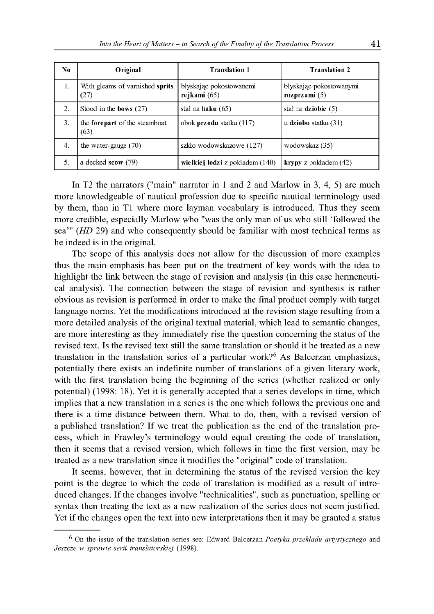| No. | Original                                | <b>Translation 1</b>                      | <b>Translation 2</b>                       |
|-----|-----------------------------------------|-------------------------------------------|--------------------------------------------|
| 1.  | With gleams of varnished sprits<br>(27) | błyskając pokostowanemi<br>rejkami $(65)$ | błyskając pokostowanymi<br>rozprzami $(5)$ |
| 2.  | Stood in the bows $(27)$                | stał na <b>baku</b> $(65)$                | stał na dziobie $(5)$                      |
| 3.  | the forepart of the steamboat<br>(63)   | obok <b>przodu</b> statku (117)           | u dziobu statku (31)                       |
| 4.  | the water-gauge $(70)$                  | szkło wodowskazowe (127)                  | wodowskaz (35)                             |
| 5.  | a decked scow (79)                      | wielkiej łodzi z pokładem (140)           | krypy z pokładem (42)                      |

In T2 the narrators ("main" narrator in 1 and 2 and Marlow in 3, 4, 5) are much more knowledgeable of nautical profession due to specific nautical terminology used by them, than in T1 where more layman vocabulary is introduced. Thus they seem more credible, especially Marlow who "was the only man of us who still 'followed the sea'" *(HD* 29) and who consequently should be familiar with most technical terms as he indeed is in the original.

The scope of this analysis does not allow for the discussion of more examples thus the main emphasis has been put on the treatment of key words with the idea to highlight the link between the stage of revision and analysis (in this case hermeneutical analysis). The connection between the stage of revision and synthesis is rather obvious as revision is performed in order to make the final product comply with target language norms. Yet the modifications introduced at the revision stage resulting from a more detailed analysis of the original textual material, which lead to semantic changes, are more interesting as they immediately rise the question concerning the status of the revised text. Is the revised text still the same translation or should it be treated as a new translation in the translation series of a particular work?<sup>6</sup> As Balcerzan emphasizes, potentially there exists an indefinite number of translations of a given literary work, with the first translation being the beginning of the series (whether realized or only potential) (1998: 18). Yet it is generally accepted that a series develops in time, which implies that a new translation in a series is the one which follows the previous one and there is a time distance between them. W hat to do, then, with a revised version of a published translation? If we treat the publication as the end of the translation process, which in Frawley's terminology would equal creating the code of translation, then it seems that a revised version, which follows in time the first version, may be treated as a new translation since it modifies the "original" code of translation.

It seems, however, that in determining the status of the revised version the key point is the degree to which the code of translation is modified as a result of introduced changes. If the changes involve "technicalities", such as punctuation, spelling or syntax then treating the text as a new realization of the series does not seem justified. Yet if the changes open the text into new interpretations then it may be granted a status

<sup>6</sup> On the issue of the translation series see: Edward Balcerzan *Poetyka przekładu artystycznego* and *Jeszcze w sprawie serii translatorskiej* (1998).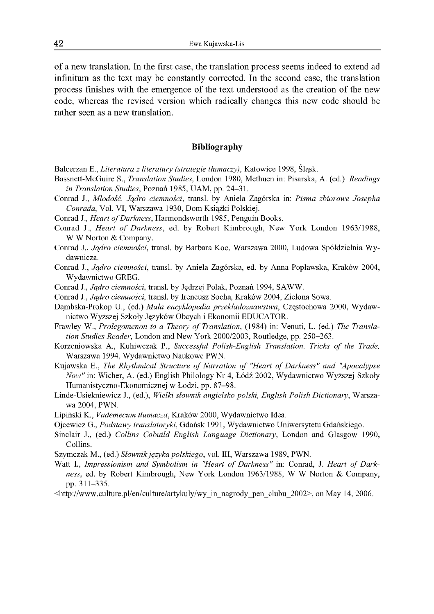of a new translation. In the first case, the translation process seems indeed to extend ad infinitum as the text may be constantly corrected. In the second case, the translation process finishes with the emergence of the text understood as the creation of the new code, whereas the revised version which radically changes this new code should be rather seen as a new translation.

#### **Bibliography**

- Balcerzan E., *Literatura z literatury (strategie tłumaczy),* Katowice 1998, Śląsk.
- Bassnett-McGuire S., *Translation Studies,* London 1980, Methuen in: Pisarska, A. (ed.) *Readings in Translation Studies,* Poznań 1985, UAM, pp. 24-31.
- Conrad J., *Młodość. Jądro ciemności,* transl. by Aniela Zagórska in: *Pisma zbiorowe Josepha Conrada,* Vol. VI, Warszawa 1930, Dom Książki Polskiej.
- Conrad J., *Heart of Darkness*, Harmondsworth 1985, Penguin Books.
- Conrad J., *Heart of Darkness*, ed. by Robert Kimbrough, New York London 1963/1988, W W Norton & Company.
- Conrad J., *Jądro ciemności,* transl. by Barbara Koc, Warszawa 2000, Ludowa Spółdzielnia Wydawnicza.
- Conrad J., *Jądro ciemności,* transl. by Aniela Zagórska, ed. by Anna Popławska, Kraków 2004, Wydawnictwo GREG.
- Conrad J., *Jądro ciemności,* transl. by Jędrzej Polak, Poznań 1994, SAWW.
- Conrad J., *Jądro ciemności,* transl. by Ireneusz Socha, Kraków 2004, Zielona Sowa.
- Dąmbska-Prokop U., (ed.) *Mała encyklopedia przekładoznawstwa,* Częstochowa 2000, Wydawnictwo Wyższej Szkoły Języków Obcych i Ekonomii EDUCATOR.
- Frawley W., *Prolegomenon to a Theory of Translation*, (1984) in: Venuti, L. (ed.) The Transla*tion Studies Reader*, London and New York 2000/2003, Routledge, pp. 250-263.
- Korzeniowska A., Kuhiwczak P., *Successful Polish-English Translation. Tricks of the Trade,* Warszawa 1994, Wydawnictwo Naukowe PWN.
- Kujawska E., *The Rhythmical Structure of Narration of "Heart of Darkness" and "Apocalypse Now"* in: Wicher, A. (ed.) English Philology Nr 4, Łódź 2002, Wydawnictwo Wyższej Szkoły Humanistyczno-Ekonomicznej w Łodzi, pp. 87-98.
- Linde-Usiekniewicz J., (ed.), *Wielki słownik angielsko-polski, English-Polish Dictionary,* Warszawa 2004, PWN.
- Lipiński K., *Vademecum tłumacza,* Kraków 2000, Wydawnictwo Idea.
- Ojcewicz G., *Podstawy translatoryki,* Gdańsk 1991, Wydawnictwo Uniwersytetu Gdańskiego.
- Sinclair J., (ed.) *Collins Cobuild English Language Dictionary,* London and Glasgow 1990, Collins.
- Szymczak M., (ed.) *Słownik języka polskiego,* vol. III, Warszawa 1989, PWN.
- Watt I., *Impressionism and Symbolism in "Heart of Darkness"* in: Conrad, J. *Heart of Darkness,* ed. by Robert Kimbrough, New York London 1963/1988, W W Norton & Company, pp. 311-335.
- <[http://www.culture.pl/en/culture/artykuly/wy\\_in\\_nagrody\\_pen\\_clubu\\_2002>](http://www.culture.pl/en/culture/artykuly/wy_in_nagrody_pen_clubu_2002), on May 14, 2006.